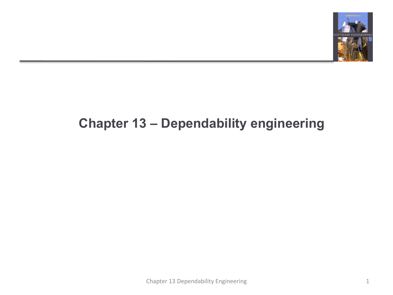

#### **Chapter 13 – Dependability engineering**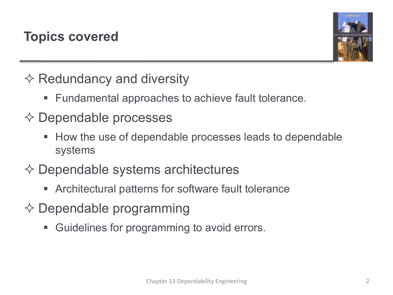

 $\diamond$  Redundancy and diversity

§ Fundamental approaches to achieve fault tolerance.

#### $\diamond$  Dependable processes

- § How the use of dependable processes leads to dependable systems
- $\diamondsuit$  Dependable systems architectures
	- § Architectural patterns for software fault tolerance
- $\diamondsuit$  Dependable programming
	- Guidelines for programming to avoid errors.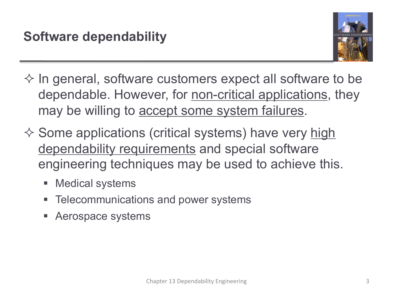

- $\Diamond$  In general, software customers expect all software to be dependable. However, for non-critical applications, they may be willing to **accept some system failures**.
- $\diamond$  Some applications (critical systems) have very high dependability requirements and special software engineering techniques may be used to achieve this.
	- Medical systems
	- § Telecommunications and power systems
	- § Aerospace systems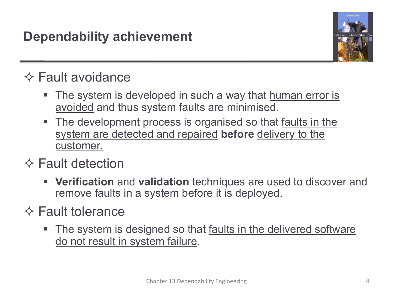

# $\diamond$  Fault avoidance

- The system is developed in such a way that human error is avoided and thus system faults are minimised.
- The development process is organised so that faults in the system are detected and repaired **before** delivery to the customer.

## $\diamond$  Fault detection

§ **Verification** and **validation** techniques are used to discover and remove faults in a system before it is deployed.

#### $\diamond$  Fault tolerance

The system is designed so that faults in the delivered software do not result in system failure.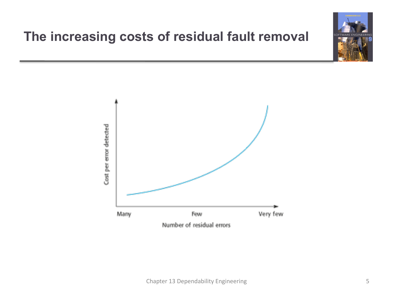## **The increasing costs of residual fault removal**

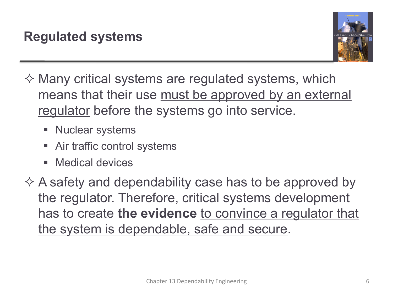

- $\diamondsuit$  Many critical systems are regulated systems, which means that their use must be approved by an external regulator before the systems go into service.
	- Nuclear systems
	- Air traffic control systems
	- Medical devices
- $\Diamond$  A safety and dependability case has to be approved by the regulator. Therefore, critical systems development has to create **the evidence** to convince a regulator that the system is dependable, safe and secure.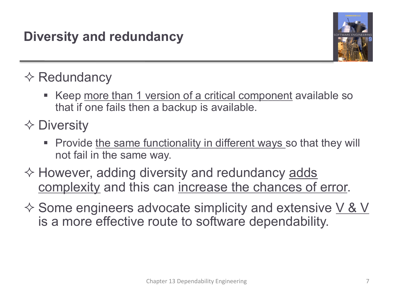

## $\diamond$  Redundancy

- Keep more than 1 version of a critical component available so that if one fails then a backup is available.
- $\Diamond$  Diversity
	- **Provide the same functionality in different ways so that they will** not fail in the same way.
- $\diamondsuit$  However, adding diversity and redundancy  $\overline{\mathsf{adds}}$ complexity and this can increase the chances of error.
- $\Diamond$  Some engineers advocate simplicity and extensive V & V is a more effective route to software dependability.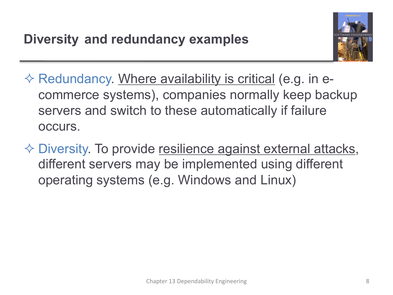

- $\Diamond$  Redundancy. Where availability is critical (e.g. in ecommerce systems), companies normally keep backup servers and switch to these automatically if failure occurs.
- $\Diamond$  Diversity. To provide resilience against external attacks, different servers may be implemented using different operating systems (e.g. Windows and Linux)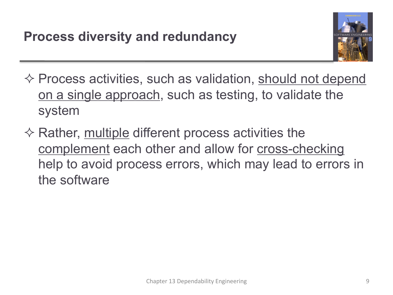

- $\diamond$  Process activities, such as validation, should not depend on a single approach, such as testing, to validate the system
- $\diamondsuit$  Rather, multiple different process activities the complement each other and allow for cross-checking help to avoid process errors, which may lead to errors in the software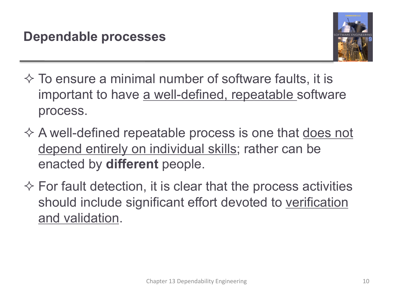

- $\Diamond$  To ensure a minimal number of software faults, it is important to have a well-defined, repeatable software process.
- $\diamondsuit$  A well-defined repeatable process is one that does not depend entirely on individual skills; rather can be enacted by **different** people.
- $\Diamond$  For fault detection, it is clear that the process activities should include significant effort devoted to verification and validation.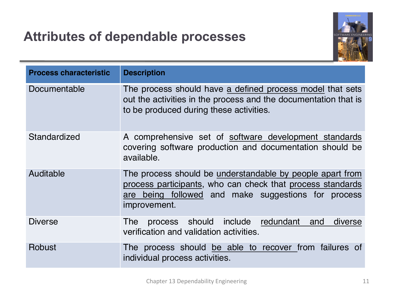#### **Attributes of dependable processes**



| <b>Process characteristic</b> | <b>Description</b>                                                                                                                                                                             |
|-------------------------------|------------------------------------------------------------------------------------------------------------------------------------------------------------------------------------------------|
| Documentable                  | The process should have a defined process model that sets<br>out the activities in the process and the documentation that is<br>to be produced during these activities.                        |
| Standardized                  | A comprehensive set of software development standards<br>covering software production and documentation should be<br>available.                                                                |
| Auditable                     | The process should be understandable by people apart from<br>process participants, who can check that process standards<br>are being followed and make suggestions for process<br>improvement. |
| <b>Diverse</b>                | process should include redundant and<br>diverse<br><b>The</b><br>verification and validation activities.                                                                                       |
| Robust                        | The process should be able to recover from failures of<br>individual process activities.                                                                                                       |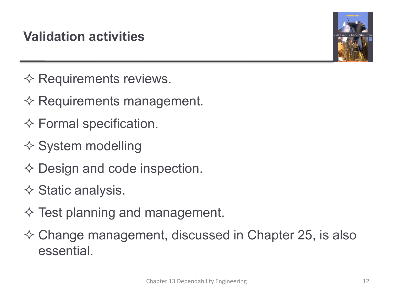## **Validation activities**



- $\diamond$  Requirements reviews.
- $\diamondsuit$  Requirements management.
- $\diamond$  Formal specification.
- $\diamond$  System modelling
- $\diamondsuit$  Design and code inspection.
- $\diamond$  Static analysis.
- $\diamond$  Test planning and management.
- $\diamond$  Change management, discussed in Chapter 25, is also essential.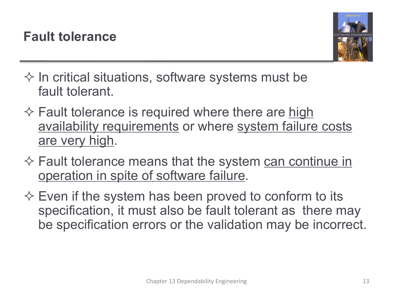

- $\diamond$  In critical situations, software systems must be fault tolerant.
- $\diamondsuit$  Fault tolerance is required where there are high availability requirements or where system failure costs are very high.
- $\diamondsuit$  Fault tolerance means that the system can continue in operation in spite of software failure.
- $\diamond$  Even if the system has been proved to conform to its specification, it must also be fault tolerant as there may be specification errors or the validation may be incorrect.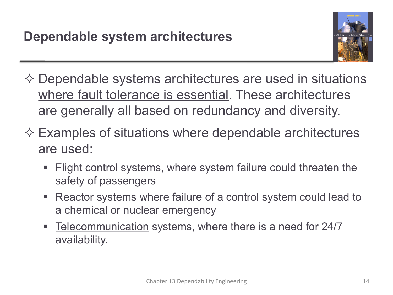

- $\diamond$  Dependable systems architectures are used in situations where fault tolerance is essential. These architectures are generally all based on redundancy and diversity.
- $\diamondsuit$  Examples of situations where dependable architectures are used:
	- § Flight control systems, where system failure could threaten the safety of passengers
	- Reactor systems where failure of a control system could lead to a chemical or nuclear emergency
	- Telecommunication systems, where there is a need for 24/7 availability.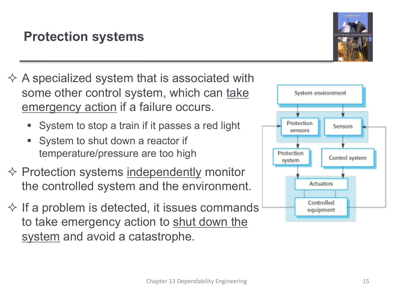## **Protection systems**

- $\Diamond$  A specialized system that is associated with some other control system, which can take emergency action if a failure occurs.
	- § System to stop a train if it passes a red light
	- System to shut down a reactor if temperature/pressure are too high
- $\diamond$  Protection systems independently monitor the controlled system and the environment.
- $\diamond$  If a problem is detected, it issues commands to take emergency action to shut down the system and avoid a catastrophe.



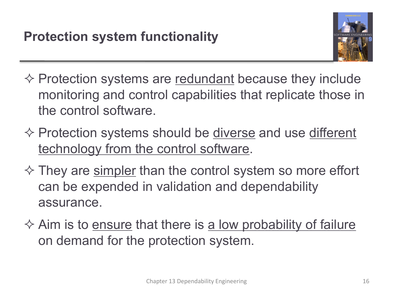

- $\diamond$  Protection systems are redundant because they include monitoring and control capabilities that replicate those in the control software.
- $\diamond$  Protection systems should be diverse and use different technology from the control software.
- $\Diamond$  They are simpler than the control system so more effort can be expended in validation and dependability assurance.
- $\diamond$  Aim is to ensure that there is a low probability of failure on demand for the protection system.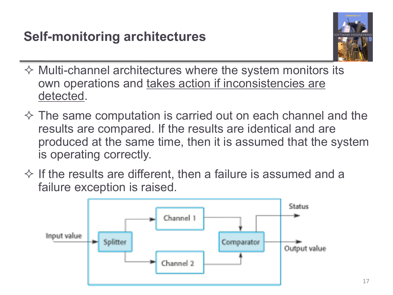

- $\Diamond$  Multi-channel architectures where the system monitors its own operations and takes action if inconsistencies are detected.
- $\Diamond$  The same computation is carried out on each channel and the results are compared. If the results are identical and are produced at the same time, then it is assumed that the system is operating correctly.
- $\Diamond$  If the results are different, then a failure is assumed and a failure exception is raised.

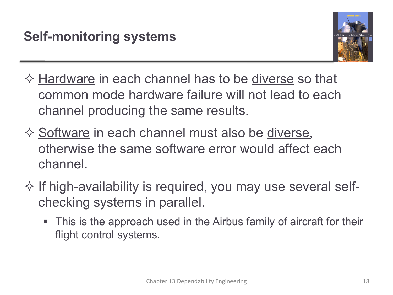

- $\diamondsuit$  Hardware in each channel has to be diverse so that common mode hardware failure will not lead to each channel producing the same results.
- $\diamondsuit$  Software in each channel must also be diverse, otherwise the same software error would affect each channel.
- $\diamond$  If high-availability is required, you may use several selfchecking systems in parallel.
	- This is the approach used in the Airbus family of aircraft for their flight control systems.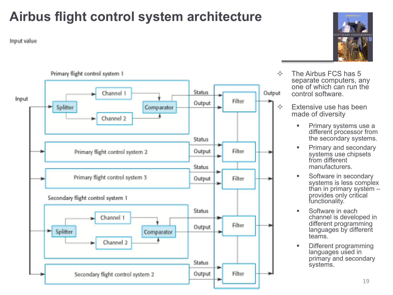# **Airbus flight control system architecture**

Input value





- $\div$  The Airbus FCS has 5 separate computers, any one of which can run the control software.
- $\Diamond$  Extensive use has been made of diversity
	- Primary systems use a different processor from the secondary systems.
	- **•** Primary and secondary systems use chipsets from different manufacturers.
	- Software in secondary systems is less complex than in primary system – provides only critical functionality.
	- Software in each channel is developed in different programming languages by different teams.
	- Different programming languages used in primary and secondary systems.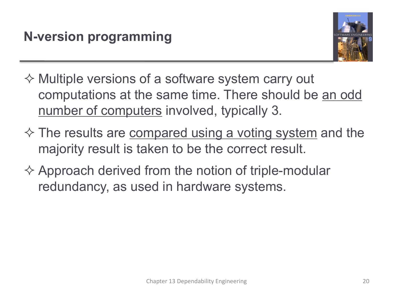

- $\Diamond$  Multiple versions of a software system carry out computations at the same time. There should be an odd number of computers involved, typically 3.
- $\Diamond$  The results are compared using a voting system and the majority result is taken to be the correct result.
- $\Diamond$  Approach derived from the notion of triple-modular redundancy, as used in hardware systems.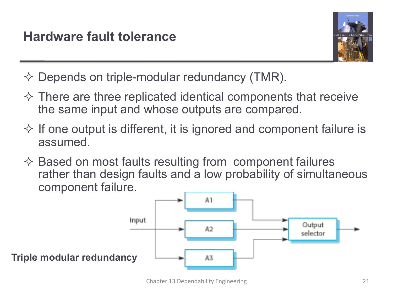

 $\Diamond$  Depends on triple-modular redundancy (TMR).

- $\Diamond$  There are three replicated identical components that receive the same input and whose outputs are compared.
- $\Diamond$  If one output is different, it is ignored and component failure is assumed.
- $\Diamond$  Based on most faults resulting from component failures rather than design faults and a low probability of simultaneous component failure.

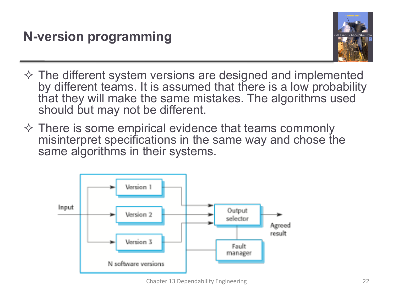

- $\Diamond$  The different system versions are designed and implemented by different teams. It is assumed that there is a low probability that they will make the same mistakes. The algorithms used should but may not be different.
- $\diamond$  There is some empirical evidence that teams commonly misinterpret specifications in the same way and chose the same algorithms in their systems.

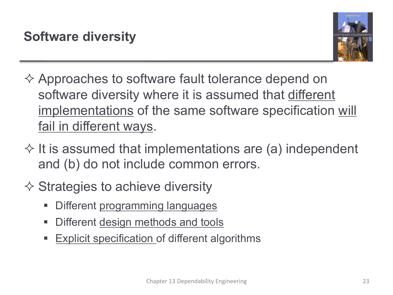

- $\Diamond$  Approaches to software fault tolerance depend on software diversity where it is assumed that different implementations of the same software specification will fail in different ways.
- $\Diamond$  It is assumed that implementations are (a) independent and (b) do not include common errors.
- $\diamondsuit$  Strategies to achieve diversity
	- Different programming languages
	- Different design methods and tools
	- Explicit specification of different algorithms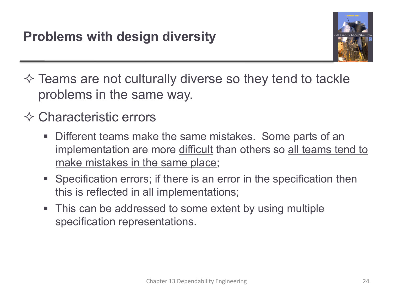

- $\Diamond$  Teams are not culturally diverse so they tend to tackle problems in the same way.
- $\Diamond$  Characteristic errors
	- Different teams make the same mistakes. Some parts of an implementation are more difficult than others so all teams tend to make mistakes in the same place;
	- § Specification errors; if there is an error in the specification then this is reflected in all implementations;
	- This can be addressed to some extent by using multiple specification representations.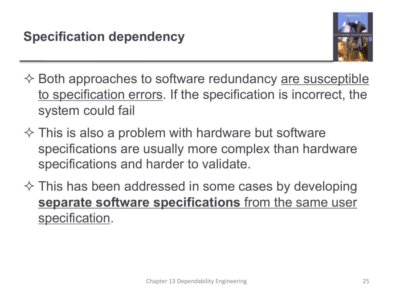

- $\diamondsuit$  Both approaches to software redundancy are susceptible to specification errors. If the specification is incorrect, the system could fail
- $\Diamond$  This is also a problem with hardware but software specifications are usually more complex than hardware specifications and harder to validate.
- $\diamond$  This has been addressed in some cases by developing **separate software specifications** from the same user specification.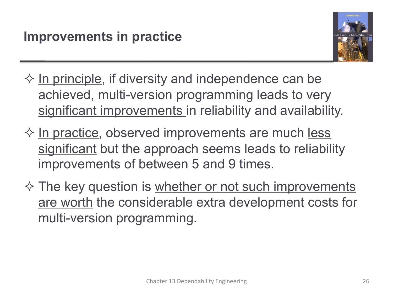

- $\Diamond$  In principle, if diversity and independence can be achieved, multi-version programming leads to very significant improvements in reliability and availability.
- $\diamond$  In practice, observed improvements are much less significant but the approach seems leads to reliability improvements of between 5 and 9 times.
- $\diamond$  The key question is whether or not such improvements are worth the considerable extra development costs for multi-version programming.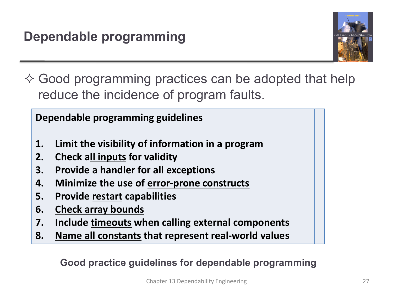

 $\diamondsuit$  Good programming practices can be adopted that help reduce the incidence of program faults.

**Dependable programming guidelines**

- **1. Limit the visibility of information in a program**
- **2. Check all inputs for validity**
- **3. Provide a handler for all exceptions**
- **4. Minimize the use of error-prone constructs**
- **5. Provide restart capabilities**
- **6. Check array bounds**
- **7. Include timeouts when calling external components**
- **8. Name all constants that represent real-world values**

**Good practice guidelines for dependable programming**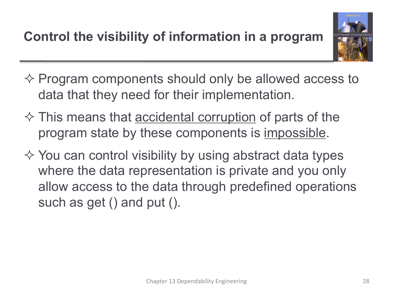

- $\diamond$  Program components should only be allowed access to data that they need for their implementation.
- $\Diamond$  This means that <u>accidental corruption</u> of parts of the program state by these components is impossible.
- $\Diamond$  You can control visibility by using abstract data types where the data representation is private and you only allow access to the data through predefined operations such as get () and put ().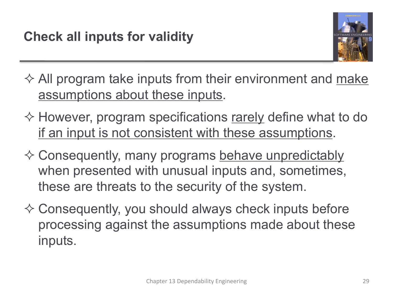

 $\Diamond$  All program take inputs from their environment and make assumptions about these inputs.

- $\diamond$  However, program specifications rarely define what to do if an input is not consistent with these assumptions.
- $\diamondsuit$  Consequently, many programs behave unpredictably when presented with unusual inputs and, sometimes, these are threats to the security of the system.
- $\Diamond$  Consequently, you should always check inputs before processing against the assumptions made about these inputs.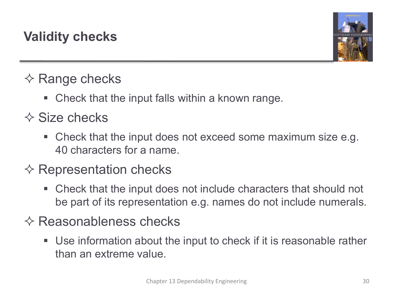

## $\diamond$  Range checks

Check that the input falls within a known range.

## $\Diamond$  Size checks

■ Check that the input does not exceed some maximum size e.g. 40 characters for a name.

#### $\diamondsuit$  Representation checks

§ Check that the input does not include characters that should not be part of its representation e.g. names do not include numerals.

#### $\diamondsuit$  Reasonableness checks

■ Use information about the input to check if it is reasonable rather than an extreme value.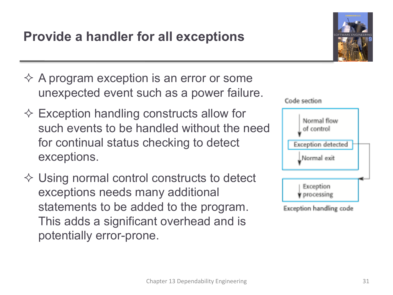#### **Provide a handler for all exceptions**

- $\Diamond$  A program exception is an error or some unexpected event such as a power failure.
- $\Diamond$  Exception handling constructs allow for such events to be handled without the need for continual status checking to detect exceptions.
- $\diamond$  Using normal control constructs to detect exceptions needs many additional statements to be added to the program. This adds a significant overhead and is potentially error-prone.



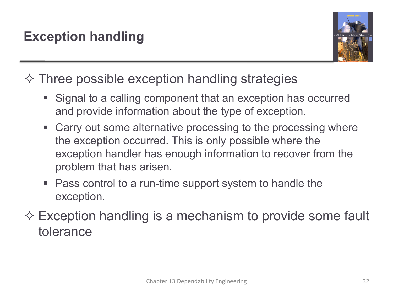

 $\Diamond$  Three possible exception handling strategies

- Signal to a calling component that an exception has occurred and provide information about the type of exception.
- Carry out some alternative processing to the processing where the exception occurred. This is only possible where the exception handler has enough information to recover from the problem that has arisen.
- Pass control to a run-time support system to handle the exception.
- $\diamondsuit$  Exception handling is a mechanism to provide some fault tolerance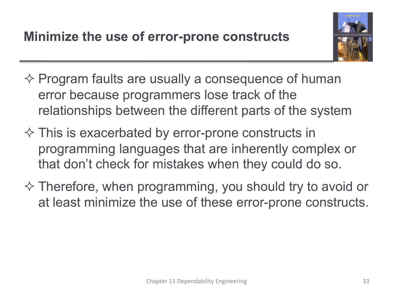

- $\diamond$  Program faults are usually a consequence of human error because programmers lose track of the relationships between the different parts of the system
- $\Diamond$  This is exacerbated by error-prone constructs in programming languages that are inherently complex or that don't check for mistakes when they could do so.
- $\Diamond$  Therefore, when programming, you should try to avoid or at least minimize the use of these error-prone constructs.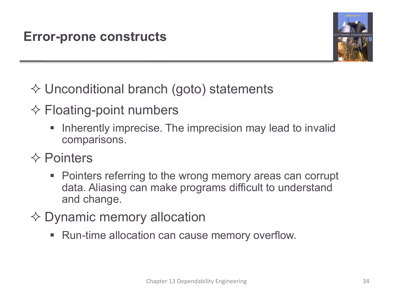

- $\diamondsuit$  Unconditional branch (goto) statements
- $\diamond$  Floating-point numbers
	- Inherently imprecise. The imprecision may lead to invalid comparisons.
- $\Diamond$  Pointers
	- Pointers referring to the wrong memory areas can corrupt data. Aliasing can make programs difficult to understand and change.
- $\diamond$  Dynamic memory allocation
	- Run-time allocation can cause memory overflow.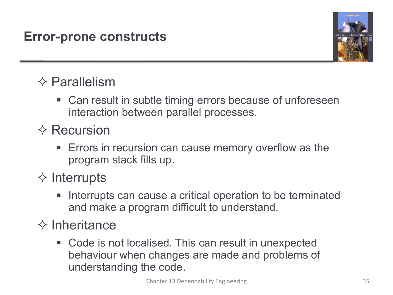#### **Error-prone constructs**



## $\diamond$  Parallelism

- Can result in subtle timing errors because of unforeseen interaction between parallel processes.
- $\diamond$  Recursion
	- Errors in recursion can cause memory overflow as the program stack fills up.
- $\diamond$  Interrupts
	- Interrupts can cause a critical operation to be terminated and make a program difficult to understand.
- $\diamond$  Inheritance
	- Code is not localised. This can result in unexpected behaviour when changes are made and problems of understanding the code.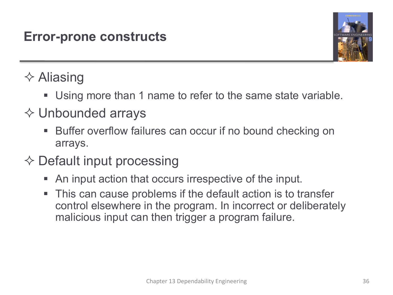#### **Error-prone constructs**



## $\diamond$  Aliasing

- Using more than 1 name to refer to the same state variable.
- $\diamond$  Unbounded arrays
	- Buffer overflow failures can occur if no bound checking on arrays.

## $\diamondsuit$  Default input processing

- An input action that occurs irrespective of the input.
- This can cause problems if the default action is to transfer control elsewhere in the program. In incorrect or deliberately malicious input can then trigger a program failure.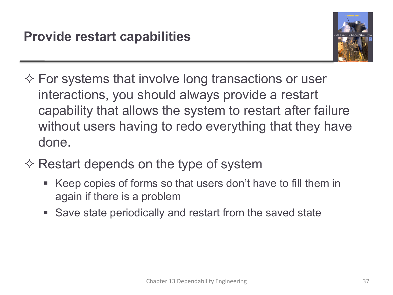

- $\diamondsuit$  For systems that involve long transactions or user interactions, you should always provide a restart capability that allows the system to restart after failure without users having to redo everything that they have done.
- $\diamondsuit$  Restart depends on the type of system
	- § Keep copies of forms so that users don't have to fill them in again if there is a problem
	- Save state periodically and restart from the saved state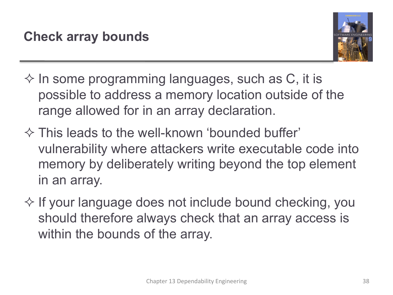

- $\diamond$  In some programming languages, such as C, it is possible to address a memory location outside of the range allowed for in an array declaration.
- $\Diamond$  This leads to the well-known 'bounded buffer' vulnerability where attackers write executable code into memory by deliberately writing beyond the top element in an array.
- $\diamond$  If your language does not include bound checking, you should therefore always check that an array access is within the bounds of the array.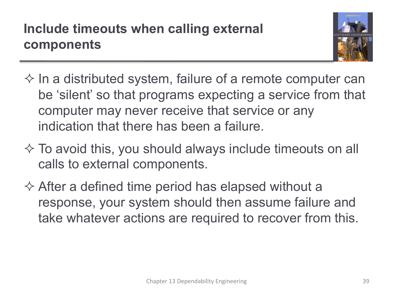## **Include timeouts when calling external components**



- $\diamond$  In a distributed system, failure of a remote computer can be 'silent' so that programs expecting a service from that computer may never receive that service or any indication that there has been a failure.
- $\Diamond$  To avoid this, you should always include timeouts on all calls to external components.
- $\Diamond$  After a defined time period has elapsed without a response, your system should then assume failure and take whatever actions are required to recover from this.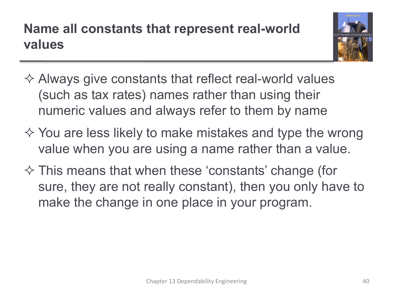# **Name all constants that represent real-world values**



- $\Diamond$  Always give constants that reflect real-world values (such as tax rates) names rather than using their numeric values and always refer to them by name
- $\Diamond$  You are less likely to make mistakes and type the wrong value when you are using a name rather than a value.
- $\Diamond$  This means that when these 'constants' change (for sure, they are not really constant), then you only have to make the change in one place in your program.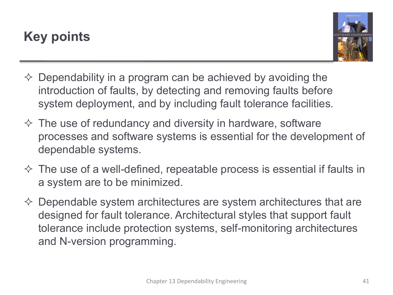## **Key points**



- $\Diamond$  Dependability in a program can be achieved by avoiding the introduction of faults, by detecting and removing faults before system deployment, and by including fault tolerance facilities.
- $\Diamond$  The use of redundancy and diversity in hardware, software processes and software systems is essential for the development of dependable systems.
- $\Diamond$  The use of a well-defined, repeatable process is essential if faults in a system are to be minimized.
- $\diamond$  Dependable system architectures are system architectures that are designed for fault tolerance. Architectural styles that support fault tolerance include protection systems, self-monitoring architectures and N-version programming.